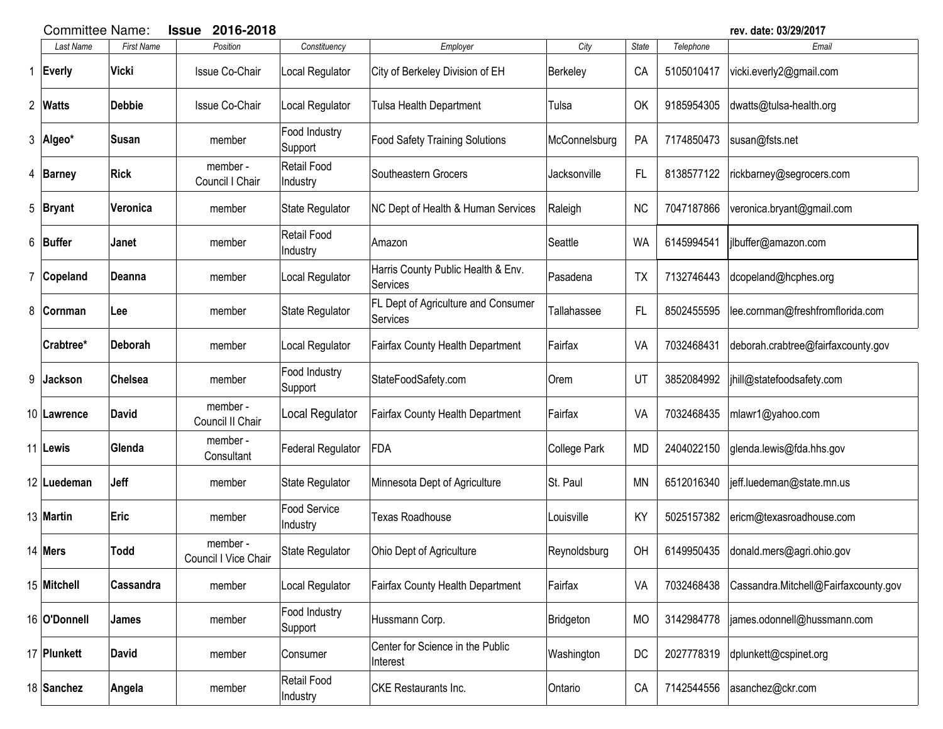|   |                | 2016-2018<br><b>Committee Name:</b><br><b>Issue</b> |                                  |                                |                                                 |               |           |            | rev. date: 03/29/2017                |
|---|----------------|-----------------------------------------------------|----------------------------------|--------------------------------|-------------------------------------------------|---------------|-----------|------------|--------------------------------------|
|   | Last Name      | <b>First Name</b>                                   | Position                         | Constituency                   | Employer                                        | City          | State     | Telephone  | Email                                |
| 1 | Everly         | Vicki                                               | Issue Co-Chair                   | Local Regulator                | City of Berkeley Division of EH                 | Berkeley      | CA        | 5105010417 | vicki.everly2@gmail.com              |
|   | 2 Watts        | <b>Debbie</b>                                       | <b>Issue Co-Chair</b>            | Local Regulator                | Tulsa Health Department                         | Tulsa         | OK        | 9185954305 | dwatts@tulsa-health.org              |
|   | 3 Algeo*       | <b>Susan</b>                                        | member                           | Food Industry<br>Support       | <b>Food Safety Training Solutions</b>           | McConnelsburg | PA        | 7174850473 | susan@fsts.net                       |
| 4 | Barney         | <b>Rick</b>                                         | member -<br>Council I Chair      | <b>Retail Food</b><br>Industry | Southeastern Grocers                            | Jacksonville  | FL.       | 8138577122 | rickbarney@segrocers.com             |
|   | 5 Bryant       | Veronica                                            | member                           | State Regulator                | <b>NC Dept of Health &amp; Human Services</b>   | Raleigh       | <b>NC</b> | 7047187866 | veronica.bryant@gmail.com            |
|   | 6 Buffer       | Janet                                               | member                           | <b>Retail Food</b><br>Industry | Amazon                                          | Seattle       | <b>WA</b> | 6145994541 | jlbuffer@amazon.com                  |
| 7 | Copeland       | Deanna                                              | member                           | Local Regulator                | Harris County Public Health & Env.<br>Services  | Pasadena      | <b>TX</b> | 7132746443 | dcopeland@hcphes.org                 |
| 8 | <b>Cornman</b> | Lee                                                 | member                           | State Regulator                | FL Dept of Agriculture and Consumer<br>Services | Tallahassee   | FL.       | 8502455595 | lee.cornman@freshfromflorida.com     |
|   | Crabtree*      | Deborah                                             | member                           | Local Regulator                | <b>Fairfax County Health Department</b>         | Fairfax       | VA        | 7032468431 | deborah.crabtree@fairfaxcounty.gov   |
| 9 | Jackson        | <b>Chelsea</b>                                      | member                           | Food Industry<br>Support       | StateFoodSafety.com                             | Orem          | UT        | 3852084992 | jhill@statefoodsafety.com            |
|   | 10 Lawrence    | <b>David</b>                                        | member -<br>Council II Chair     | Local Regulator                | <b>Fairfax County Health Department</b>         | Fairfax       | VA        | 7032468435 | mlawr1@yahoo.com                     |
|   | 11 Lewis       | Glenda                                              | member -<br>Consultant           | <b>Federal Regulator</b>       | FDA                                             | College Park  | <b>MD</b> | 2404022150 | glenda.lewis@fda.hhs.gov             |
|   | 12 Luedeman    | Jeff                                                | member                           | State Regulator                | Minnesota Dept of Agriculture                   | St. Paul      | <b>MN</b> | 6512016340 | jeff.luedeman@state.mn.us            |
|   | 13 Martin      | Eric                                                | member                           | Food Service<br>Industry       | <b>Texas Roadhouse</b>                          | Louisville    | KY        | 5025157382 | ericm@texasroadhouse.com             |
|   | 14 Mers        | Todd                                                | member -<br>Council I Vice Chair | State Regulator                | Ohio Dept of Agriculture                        | Reynoldsburg  | OH        | 6149950435 | donald.mers@agri.ohio.gov            |
|   | 15 Mitchell    | Cassandra                                           | member                           | Local Regulator                | <b>Fairfax County Health Department</b>         | Fairfax       | VA        | 7032468438 | Cassandra.Mitchell@Fairfaxcounty.gov |
|   | 16 O'Donnell   | James                                               | member                           | Food Industry<br>Support       | Hussmann Corp.                                  | Bridgeton     | <b>MO</b> | 3142984778 | james.odonnell@hussmann.com          |
|   | 17 Plunkett    | <b>David</b>                                        | member                           | Consumer                       | Center for Science in the Public<br>Interest    | Washington    | DC        | 2027778319 | dplunkett@cspinet.org                |
|   | 18 Sanchez     | Angela                                              | member                           | Retail Food<br>Industry        | <b>CKE</b> Restaurants Inc.                     | Ontario       | CA        | 7142544556 | asanchez@ckr.com                     |